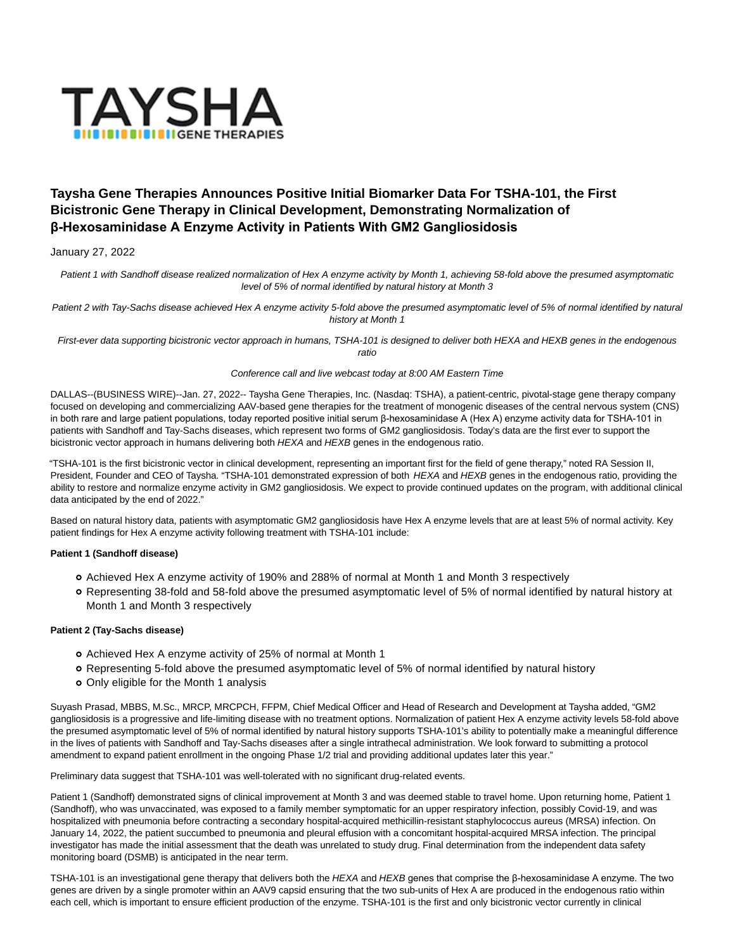

# **Taysha Gene Therapies Announces Positive Initial Biomarker Data For TSHA-101, the First Bicistronic Gene Therapy in Clinical Development, Demonstrating Normalization of β-Hexosaminidase A Enzyme Activity in Patients With GM2 Gangliosidosis**

## January 27, 2022

Patient 1 with Sandhoff disease realized normalization of Hex A enzyme activity by Month 1, achieving 58-fold above the presumed asymptomatic level of 5% of normal identified by natural history at Month 3

Patient 2 with Tay-Sachs disease achieved Hex A enzyme activity 5-fold above the presumed asymptomatic level of 5% of normal identified by natural history at Month 1

First-ever data supporting bicistronic vector approach in humans, TSHA-101 is designed to deliver both HEXA and HEXB genes in the endogenous ratio

### Conference call and live webcast today at 8:00 AM Eastern Time

DALLAS--(BUSINESS WIRE)--Jan. 27, 2022-- Taysha Gene Therapies, Inc. (Nasdaq: TSHA), a patient-centric, pivotal-stage gene therapy company focused on developing and commercializing AAV-based gene therapies for the treatment of monogenic diseases of the central nervous system (CNS) in both rare and large patient populations, today reported positive initial serum β-hexosaminidase A (Hex A) enzyme activity data for TSHA-101 in patients with Sandhoff and Tay-Sachs diseases, which represent two forms of GM2 gangliosidosis. Today's data are the first ever to support the bicistronic vector approach in humans delivering both HEXA and HEXB genes in the endogenous ratio.

"TSHA-101 is the first bicistronic vector in clinical development, representing an important first for the field of gene therapy," noted RA Session II, President, Founder and CEO of Taysha. "TSHA-101 demonstrated expression of both HEXA and HEXB genes in the endogenous ratio, providing the ability to restore and normalize enzyme activity in GM2 gangliosidosis. We expect to provide continued updates on the program, with additional clinical data anticipated by the end of 2022."

Based on natural history data, patients with asymptomatic GM2 gangliosidosis have Hex A enzyme levels that are at least 5% of normal activity. Key patient findings for Hex A enzyme activity following treatment with TSHA-101 include:

## **Patient 1 (Sandhoff disease)**

- Achieved Hex A enzyme activity of 190% and 288% of normal at Month 1 and Month 3 respectively
- Representing 38-fold and 58-fold above the presumed asymptomatic level of 5% of normal identified by natural history at Month 1 and Month 3 respectively

### **Patient 2 (Tay-Sachs disease)**

- Achieved Hex A enzyme activity of 25% of normal at Month 1
- Representing 5-fold above the presumed asymptomatic level of 5% of normal identified by natural history
- Only eligible for the Month 1 analysis

Suyash Prasad, MBBS, M.Sc., MRCP, MRCPCH, FFPM, Chief Medical Officer and Head of Research and Development at Taysha added, "GM2 gangliosidosis is a progressive and life-limiting disease with no treatment options. Normalization of patient Hex A enzyme activity levels 58-fold above the presumed asymptomatic level of 5% of normal identified by natural history supports TSHA-101's ability to potentially make a meaningful difference in the lives of patients with Sandhoff and Tay-Sachs diseases after a single intrathecal administration. We look forward to submitting a protocol amendment to expand patient enrollment in the ongoing Phase 1/2 trial and providing additional updates later this year."

Preliminary data suggest that TSHA-101 was well-tolerated with no significant drug-related events.

Patient 1 (Sandhoff) demonstrated signs of clinical improvement at Month 3 and was deemed stable to travel home. Upon returning home, Patient 1 (Sandhoff), who was unvaccinated, was exposed to a family member symptomatic for an upper respiratory infection, possibly Covid-19, and was hospitalized with pneumonia before contracting a secondary hospital-acquired methicillin-resistant staphylococcus aureus (MRSA) infection. On January 14, 2022, the patient succumbed to pneumonia and pleural effusion with a concomitant hospital-acquired MRSA infection. The principal investigator has made the initial assessment that the death was unrelated to study drug. Final determination from the independent data safety monitoring board (DSMB) is anticipated in the near term.

TSHA-101 is an investigational gene therapy that delivers both the HEXA and HEXB genes that comprise the β-hexosaminidase A enzyme. The two genes are driven by a single promoter within an AAV9 capsid ensuring that the two sub-units of Hex A are produced in the endogenous ratio within each cell, which is important to ensure efficient production of the enzyme. TSHA-101 is the first and only bicistronic vector currently in clinical